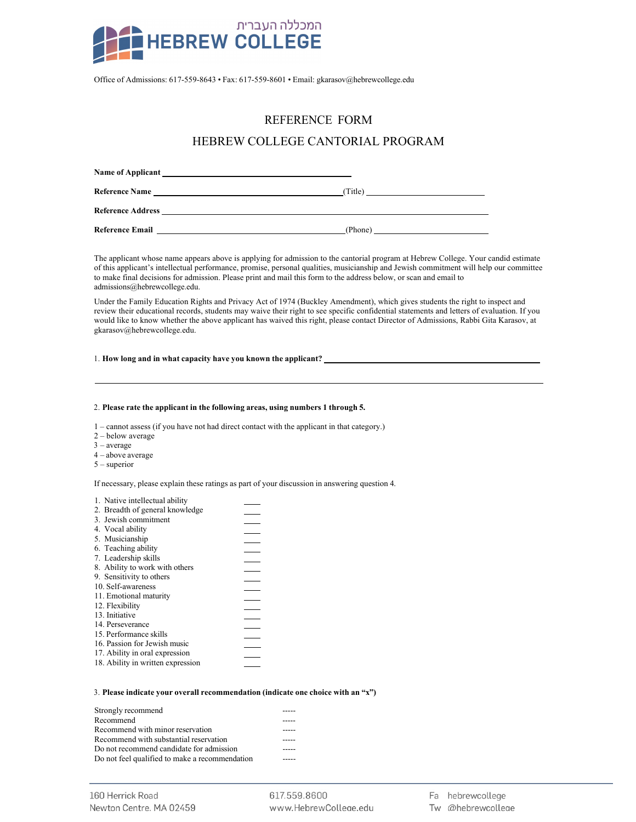

Office of Admissions: 617-559-8643 • Fax: 617-559-8601 • Email: gkarasov@hebrewcollege.edu

# REFERENCE FORM

## HEBREW COLLEGE CANTORIAL PROGRAM

| Name of Applicant                                                                                                                                                                                                                  |         |
|------------------------------------------------------------------------------------------------------------------------------------------------------------------------------------------------------------------------------------|---------|
| <b>Reference Name</b>                                                                                                                                                                                                              | (Title) |
| <b>Reference Address Exercísion Contract Contract Contract Contract Contract Contract Contract Contract Contract Contract Contract Contract Contract Contract Contract Contract Contract Contract Contract Contract Contract C</b> |         |
| <b>Reference Email</b>                                                                                                                                                                                                             | (Phone) |

The applicant whose name appears above is applying for admission to the cantorial program at Hebrew College. Your candid estimate of this applicant's intellectual performance, promise, personal qualities, musicianship and Jewish commitment will help our committee to make final decisions for admission. Please print and mail this form to the address below, or scan and email to admissions@hebrewcollege.edu.

Under the Family Education Rights and Privacy Act of 1974 (Buckley Amendment), which gives students the right to inspect and review their educational records, students may waive their right to see specific confidential statements and letters of evaluation. If you would like to know whether the above applicant has waived this right, please contact Director of Admissions, Rabbi Gita Karasov, at gkarasov@hebrewcollege.edu.

### 1. **How long and in what capacity have you known the applicant?**

#### 2. **Please rate the applicant in the following areas, using numbers 1 through 5.**

1 – cannot assess (if you have not had direct contact with the applicant in that category.)

- 2 below average
- 3 average
- 4 above average
- 5 superior

If necessary, please explain these ratings as part of your discussion in answering question 4.

|  |  | 1. Native intellectual ability |  |
|--|--|--------------------------------|--|
|--|--|--------------------------------|--|

| 2. Breadth of general knowledge   |  |
|-----------------------------------|--|
| 3. Jewish commitment              |  |
| 4. Vocal ability                  |  |
| 5. Musicianship                   |  |
| 6. Teaching ability               |  |
| 7. Leadership skills              |  |
| 8. Ability to work with others    |  |
| 9. Sensitivity to others          |  |
| 10. Self-awareness                |  |
| 11. Emotional maturity            |  |
| 12. Flexibility                   |  |
| 13. Initiative                    |  |
| 14. Perseverance                  |  |
| 15. Performance skills            |  |
| 16. Passion for Jewish music      |  |
| 17. Ability in oral expression    |  |
| 18. Ability in written expression |  |
|                                   |  |

#### 3. **Please indicate your overall recommendation (indicate one choice with an "x")**

| Strongly recommend                             |  |
|------------------------------------------------|--|
| Recommend                                      |  |
| Recommend with minor reservation               |  |
| Recommend with substantial reservation         |  |
| Do not recommend candidate for admission       |  |
| Do not feel qualified to make a recommendation |  |

617.559.8600 www.HebrewColleae.edu Fa hebrewcollege

Tw @hebrewcollege